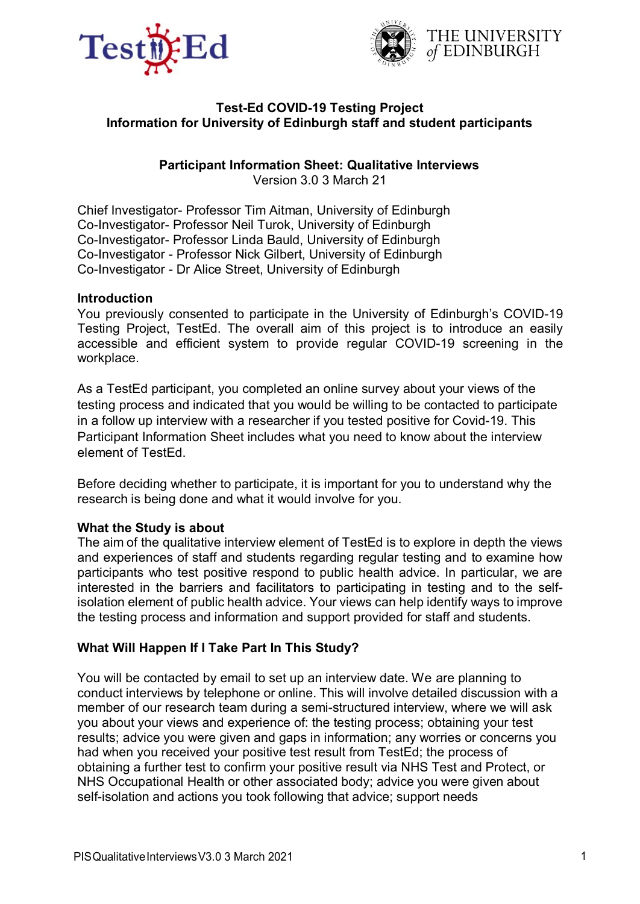



### **Test-Ed COVID-19 Testing Project Information for University of Edinburgh staff and student participants**

# **Participant Information Sheet: Qualitative Interviews**

Version 3.0 3 March 21

Chief Investigator- Professor Tim Aitman, University of Edinburgh Co-Investigator- Professor Neil Turok, University of Edinburgh Co-Investigator- Professor Linda Bauld, University of Edinburgh Co-Investigator - Professor Nick Gilbert, University of Edinburgh Co-Investigator - Dr Alice Street, University of Edinburgh

### **Introduction**

You previously consented to participate in the University of Edinburgh's COVID-19 Testing Project, TestEd. The overall aim of this project is to introduce an easily accessible and efficient system to provide regular COVID-19 screening in the workplace.

As a TestEd participant, you completed an online survey about your views of the testing process and indicated that you would be willing to be contacted to participate in a follow up interview with a researcher if you tested positive for Covid-19. This Participant Information Sheet includes what you need to know about the interview element of TestEd.

Before deciding whether to participate, it is important for you to understand why the research is being done and what it would involve for you.

### **What the Study is about**

The aim of the qualitative interview element of TestEd is to explore in depth the views and experiences of staff and students regarding regular testing and to examine how participants who test positive respond to public health advice. In particular, we are interested in the barriers and facilitators to participating in testing and to the selfisolation element of public health advice. Your views can help identify ways to improve the testing process and information and support provided for staff and students.

# **What Will Happen If I Take Part In This Study?**

You will be contacted by email to set up an interview date. We are planning to conduct interviews by telephone or online. This will involve detailed discussion with a member of our research team during a semi-structured interview, where we will ask you about your views and experience of: the testing process; obtaining your test results; advice you were given and gaps in information; any worries or concerns you had when you received your positive test result from TestEd; the process of obtaining a further test to confirm your positive result via NHS Test and Protect, or NHS Occupational Health or other associated body; advice you were given about self-isolation and actions you took following that advice; support needs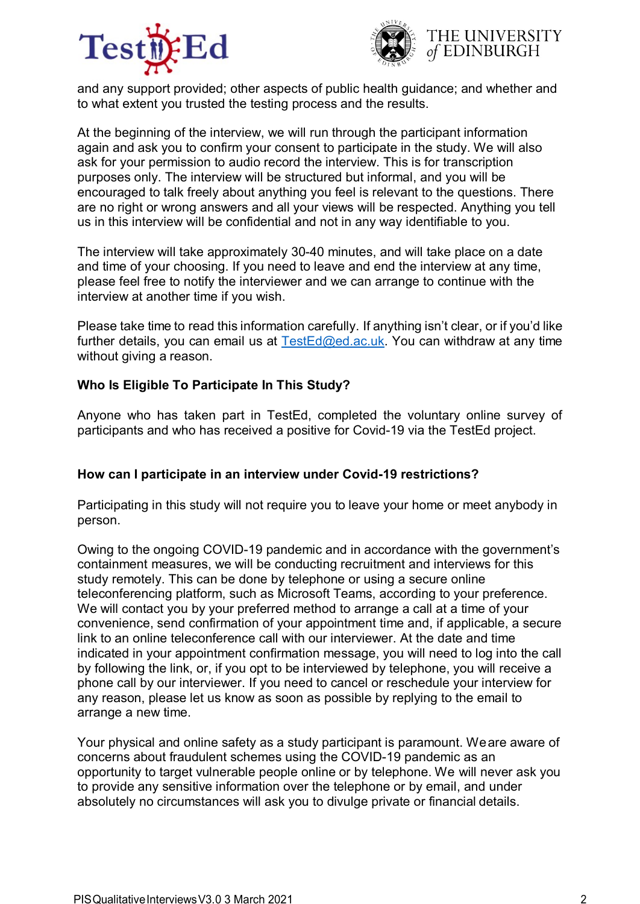



and any support provided; other aspects of public health guidance; and whether and to what extent you trusted the testing process and the results.

At the beginning of the interview, we will run through the participant information again and ask you to confirm your consent to participate in the study. We will also ask for your permission to audio record the interview. This is for transcription purposes only. The interview will be structured but informal, and you will be encouraged to talk freely about anything you feel is relevant to the questions. There are no right or wrong answers and all your views will be respected. Anything you tell us in this interview will be confidential and not in any way identifiable to you.

The interview will take approximately 30-40 minutes, and will take place on a date and time of your choosing. If you need to leave and end the interview at any time, please feel free to notify the interviewer and we can arrange to continue with the interview at another time if you wish.

Please take time to read this information carefully. If anything isn't clear, or if you'd like further details, you can email us at  $TestEd@ed.ac.uk$ . You can withdraw at any time without giving a reason.

### **Who Is Eligible To Participate In This Study?**

Anyone who has taken part in TestEd, completed the voluntary online survey of participants and who has received a positive for Covid-19 via the TestEd project.

### **How can I participate in an interview under Covid-19 restrictions?**

Participating in this study will not require you to leave your home or meet anybody in person.

Owing to the ongoing COVID-19 pandemic and in accordance with the government's containment measures, we will be conducting recruitment and interviews for this study remotely. This can be done by telephone or using a secure online teleconferencing platform, such as Microsoft Teams, according to your preference. We will contact you by your preferred method to arrange a call at a time of your convenience, send confirmation of your appointment time and, if applicable, a secure link to an online teleconference call with our interviewer. At the date and time indicated in your appointment confirmation message, you will need to log into the call by following the link, or, if you opt to be interviewed by telephone, you will receive a phone call by our interviewer. If you need to cancel or reschedule your interview for any reason, please let us know as soon as possible by replying to the email to arrange a new time.

Your physical and online safety as a study participant is paramount. Weare aware of concerns about fraudulent schemes using the COVID-19 pandemic as an opportunity to target vulnerable people online or by telephone. We will never ask you to provide any sensitive information over the telephone or by email, and under absolutely no circumstances will ask you to divulge private or financial details.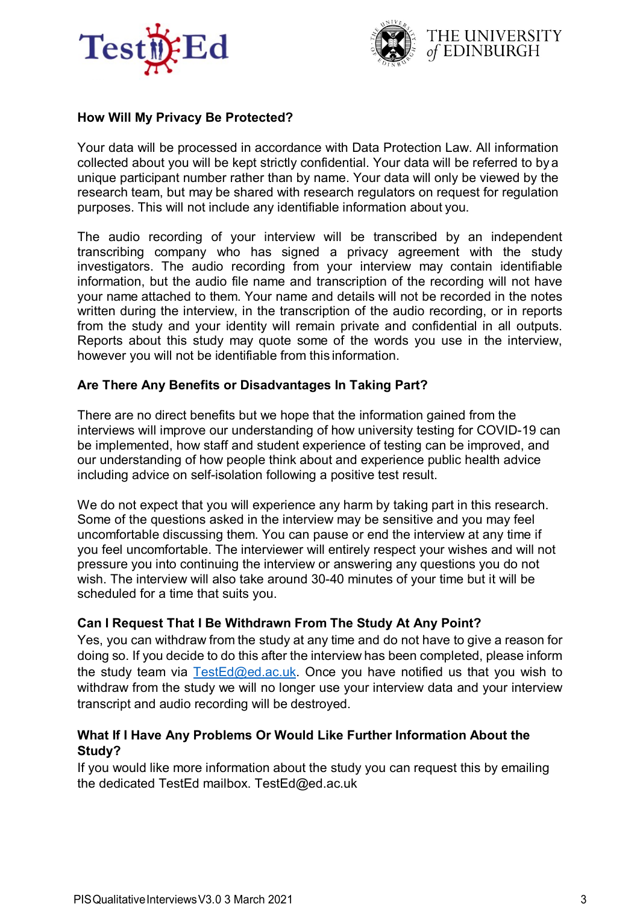



## **How Will My Privacy Be Protected?**

Your data will be processed in accordance with Data Protection Law. All information collected about you will be kept strictly confidential. Your data will be referred to by a unique participant number rather than by name. Your data will only be viewed by the research team, but may be shared with research regulators on request for regulation purposes. This will not include any identifiable information about you.

The audio recording of your interview will be transcribed by an independent transcribing company who has signed a privacy agreement with the study investigators. The audio recording from your interview may contain identifiable information, but the audio file name and transcription of the recording will not have your name attached to them. Your name and details will not be recorded in the notes written during the interview, in the transcription of the audio recording, or in reports from the study and your identity will remain private and confidential in all outputs. Reports about this study may quote some of the words you use in the interview, however you will not be identifiable from this information.

### **Are There Any Benefits or Disadvantages In Taking Part?**

There are no direct benefits but we hope that the information gained from the interviews will improve our understanding of how university testing for COVID-19 can be implemented, how staff and student experience of testing can be improved, and our understanding of how people think about and experience public health advice including advice on self-isolation following a positive test result.

We do not expect that you will experience any harm by taking part in this research. Some of the questions asked in the interview may be sensitive and you may feel uncomfortable discussing them. You can pause or end the interview at any time if you feel uncomfortable. The interviewer will entirely respect your wishes and will not pressure you into continuing the interview or answering any questions you do not wish. The interview will also take around 30-40 minutes of your time but it will be scheduled for a time that suits you.

### **Can I Request That I Be Withdrawn From The Study At Any Point?**

Yes, you can withdraw from the study at any time and do not have to give a reason for doing so. If you decide to do this after the interview has been completed, please inform the study team via  $TestEd@ed.ac.uk$ . Once you have notified us that you wish to withdraw from the study we will no longer use your interview data and your interview transcript and audio recording will be destroyed.

### **What If I Have Any Problems Or Would Like Further Information About the Study?**

If you would like more information about the study you can request this by emailing the dedicated TestEd mailbox. [TestEd@ed.ac.uk](mailto:TestEd@ed.ac.uk)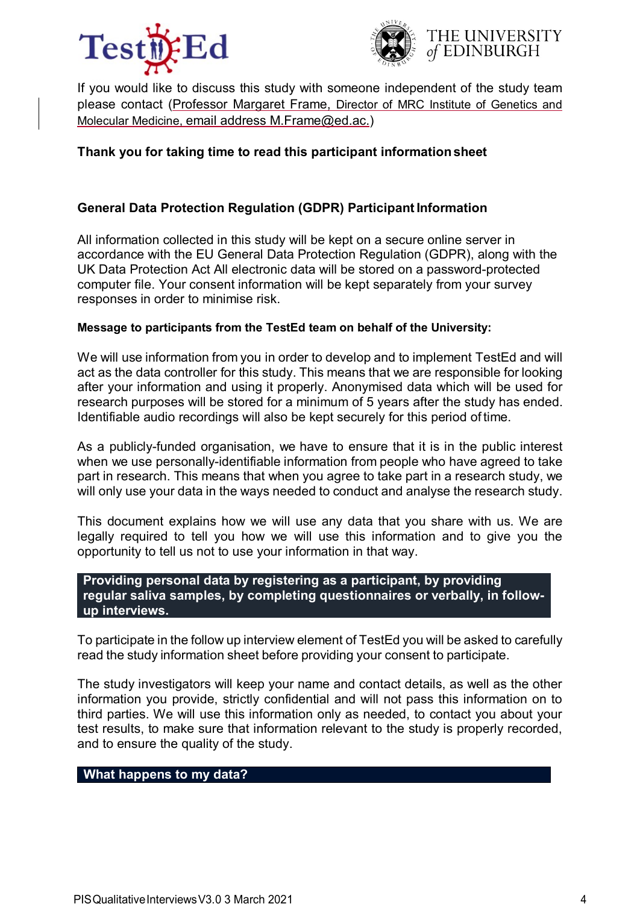



If you would like to discuss this study with someone independent of the study team please contact (Professor Margaret Frame, Director of MRC Institute of Genetics and Molecular Medicine, email address M.Frame@ed.ac.)

## **Thank you for taking time to read this participant informationsheet**

## **General Data Protection Regulation (GDPR) Participant Information**

All information collected in this study will be kept on a secure online server in accordance with the EU General Data Protection Regulation (GDPR), along with the UK Data Protection Act All electronic data will be stored on a password-protected computer file. Your consent information will be kept separately from your survey responses in order to minimise risk.

#### **Message to participants from the TestEd team on behalf of the University:**

We will use information from you in order to develop and to implement TestEd and will act as the data controller for this study. This means that we are responsible for looking after your information and using it properly. Anonymised data which will be used for research purposes will be stored for a minimum of 5 years after the study has ended. Identifiable audio recordings will also be kept securely for this period of time.

As a publicly-funded organisation, we have to ensure that it is in the public interest when we use personally-identifiable information from people who have agreed to take part in research. This means that when you agree to take part in a research study, we will only use your data in the ways needed to conduct and analyse the research study.

This document explains how we will use any data that you share with us. We are legally required to tell you how we will use this information and to give you the opportunity to tell us not to use your information in that way.

#### **Providing personal data by registering as a participant, by providing regular saliva samples, by completing questionnaires or verbally, in followup interviews.**

To participate in the follow up interview element of TestEd you will be asked to carefully read the study information sheet before providing your consent to participate.

The study investigators will keep your name and contact details, as well as the other information you provide, strictly confidential and will not pass this information on to third parties. We will use this information only as needed, to contact you about your test results, to make sure that information relevant to the study is properly recorded, and to ensure the quality of the study.

### **What happens to my data?**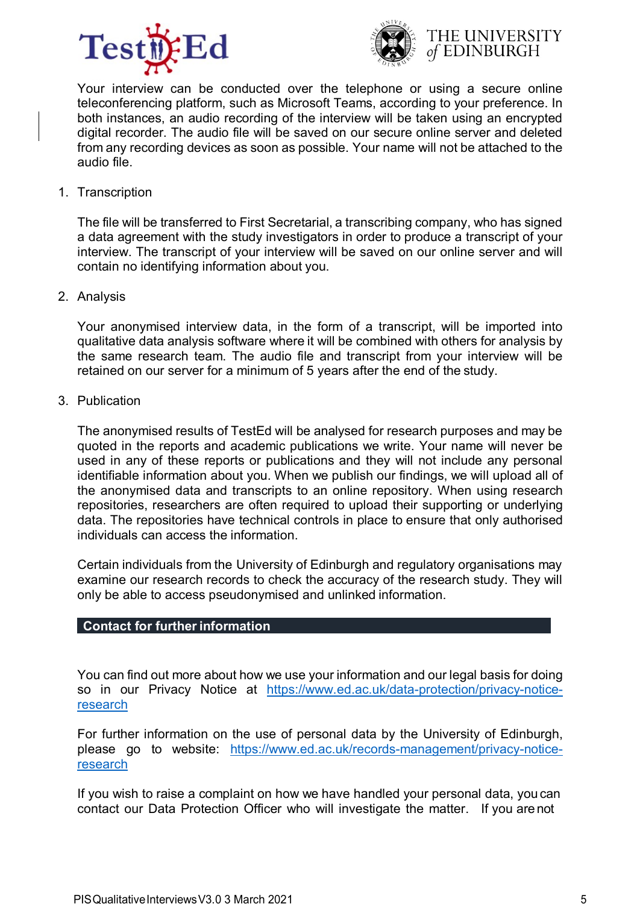





Your interview can be conducted over the telephone or using a secure online teleconferencing platform, such as Microsoft Teams, according to your preference. In both instances, an audio recording of the interview will be taken using an encrypted digital recorder. The audio file will be saved on our secure online server and deleted from any recording devices as soon as possible. Your name will not be attached to the audio file.

1. Transcription

The file will be transferred to First Secretarial, a transcribing company, who has signed a data agreement with the study investigators in order to produce a transcript of your interview. The transcript of your interview will be saved on our online server and will contain no identifying information about you.

2. Analysis

Your anonymised interview data, in the form of a transcript, will be imported into qualitative data analysis software where it will be combined with others for analysis by the same research team. The audio file and transcript from your interview will be retained on our server for a minimum of 5 years after the end of the study.

3. Publication

The anonymised results of TestEd will be analysed for research purposes and may be quoted in the reports and academic publications we write. Your name will never be used in any of these reports or publications and they will not include any personal identifiable information about you. When we publish our findings, we will upload all of the anonymised data and transcripts to an online repository. When using research repositories, researchers are often required to upload their supporting or underlying data. The repositories have technical controls in place to ensure that only authorised individuals can access the information.

Certain individuals from the University of Edinburgh and regulatory organisations may examine our research records to check the accuracy of the research study. They will only be able to access pseudonymised and unlinked information.

### **Contact for furtherinformation**

You can find out more about how we use your information and our legal basis for doing so in our Privacy Notice at [https://www.ed.ac.uk/data-protection/privacy-notice](https://www.ed.ac.uk/data-protection/privacy-notice-research)[research](https://www.ed.ac.uk/data-protection/privacy-notice-research)

For further information on the use of personal data by the University of Edinburgh, please go to website: [https://www.ed.ac.uk/records-management/privacy-notice](https://www.ed.ac.uk/records-management/privacy-notice-research)[research](https://www.ed.ac.uk/records-management/privacy-notice-research)

If you wish to raise a complaint on how we have handled your personal data, you can contact our Data Protection Officer who will investigate the matter. If you are not